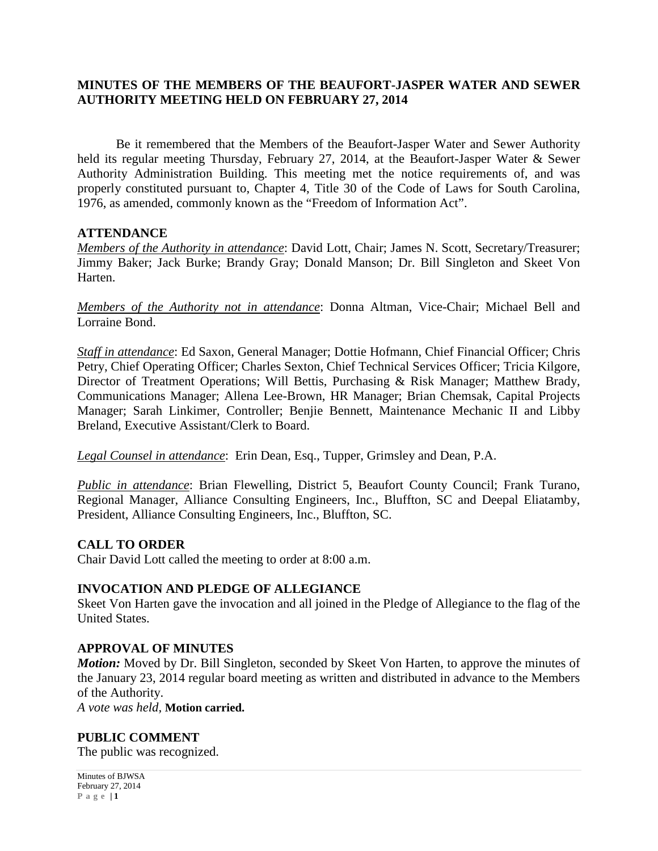## **MINUTES OF THE MEMBERS OF THE BEAUFORT-JASPER WATER AND SEWER AUTHORITY MEETING HELD ON FEBRUARY 27, 2014**

Be it remembered that the Members of the Beaufort-Jasper Water and Sewer Authority held its regular meeting Thursday, February 27, 2014, at the Beaufort-Jasper Water & Sewer Authority Administration Building. This meeting met the notice requirements of, and was properly constituted pursuant to, Chapter 4, Title 30 of the Code of Laws for South Carolina, 1976, as amended, commonly known as the "Freedom of Information Act".

## **ATTENDANCE**

*Members of the Authority in attendance*: David Lott, Chair; James N. Scott, Secretary/Treasurer; Jimmy Baker; Jack Burke; Brandy Gray; Donald Manson; Dr. Bill Singleton and Skeet Von Harten.

*Members of the Authority not in attendance*: Donna Altman, Vice-Chair; Michael Bell and Lorraine Bond.

*Staff in attendance*: Ed Saxon, General Manager; Dottie Hofmann, Chief Financial Officer; Chris Petry, Chief Operating Officer; Charles Sexton, Chief Technical Services Officer; Tricia Kilgore, Director of Treatment Operations; Will Bettis, Purchasing & Risk Manager; Matthew Brady, Communications Manager; Allena Lee-Brown, HR Manager; Brian Chemsak, Capital Projects Manager; Sarah Linkimer, Controller; Benjie Bennett, Maintenance Mechanic II and Libby Breland, Executive Assistant/Clerk to Board.

*Legal Counsel in attendance*: Erin Dean, Esq., Tupper, Grimsley and Dean, P.A.

*Public in attendance*: Brian Flewelling, District 5, Beaufort County Council; Frank Turano, Regional Manager, Alliance Consulting Engineers, Inc., Bluffton, SC and Deepal Eliatamby, President, Alliance Consulting Engineers, Inc., Bluffton, SC.

## **CALL TO ORDER**

Chair David Lott called the meeting to order at 8:00 a.m.

## **INVOCATION AND PLEDGE OF ALLEGIANCE**

Skeet Von Harten gave the invocation and all joined in the Pledge of Allegiance to the flag of the United States.

## **APPROVAL OF MINUTES**

*Motion:* Moved by Dr. Bill Singleton, seconded by Skeet Von Harten, to approve the minutes of the January 23, 2014 regular board meeting as written and distributed in advance to the Members of the Authority.

*A vote was held,* **Motion carried.**

## **PUBLIC COMMENT**

The public was recognized.

Minutes of BJWSA February 27, 2014 **Page | 1**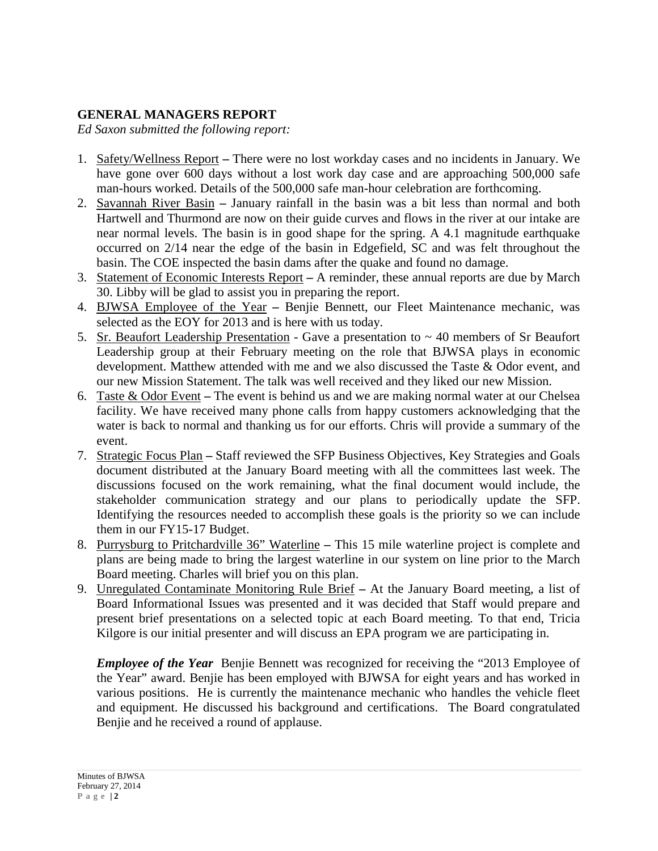# **GENERAL MANAGERS REPORT**

*Ed Saxon submitted the following report:*

- 1. Safety/Wellness Report **–** There were no lost workday cases and no incidents in January. We have gone over 600 days without a lost work day case and are approaching 500,000 safe man-hours worked. Details of the 500,000 safe man-hour celebration are forthcoming.
- 2. Savannah River Basin **–** January rainfall in the basin was a bit less than normal and both Hartwell and Thurmond are now on their guide curves and flows in the river at our intake are near normal levels. The basin is in good shape for the spring. A 4.1 magnitude earthquake occurred on 2/14 near the edge of the basin in Edgefield, SC and was felt throughout the basin. The COE inspected the basin dams after the quake and found no damage.
- 3. Statement of Economic Interests Report **–** A reminder, these annual reports are due by March 30. Libby will be glad to assist you in preparing the report.
- 4. BJWSA Employee of the Year **–** Benjie Bennett, our Fleet Maintenance mechanic, was selected as the EOY for 2013 and is here with us today.
- 5. Sr. Beaufort Leadership Presentation Gave a presentation to ~ 40 members of Sr Beaufort Leadership group at their February meeting on the role that BJWSA plays in economic development. Matthew attended with me and we also discussed the Taste & Odor event, and our new Mission Statement. The talk was well received and they liked our new Mission.
- 6. Taste & Odor Event **–** The event is behind us and we are making normal water at our Chelsea facility. We have received many phone calls from happy customers acknowledging that the water is back to normal and thanking us for our efforts. Chris will provide a summary of the event.
- 7. Strategic Focus Plan **–** Staff reviewed the SFP Business Objectives, Key Strategies and Goals document distributed at the January Board meeting with all the committees last week. The discussions focused on the work remaining, what the final document would include, the stakeholder communication strategy and our plans to periodically update the SFP. Identifying the resources needed to accomplish these goals is the priority so we can include them in our FY15-17 Budget.
- 8. Purrysburg to Pritchardville 36" Waterline **–** This 15 mile waterline project is complete and plans are being made to bring the largest waterline in our system on line prior to the March Board meeting. Charles will brief you on this plan.
- 9. Unregulated Contaminate Monitoring Rule Brief **–** At the January Board meeting, a list of Board Informational Issues was presented and it was decided that Staff would prepare and present brief presentations on a selected topic at each Board meeting. To that end, Tricia Kilgore is our initial presenter and will discuss an EPA program we are participating in.

*Employee of the Year* Benjie Bennett was recognized for receiving the "2013 Employee of the Year" award. Benjie has been employed with BJWSA for eight years and has worked in various positions. He is currently the maintenance mechanic who handles the vehicle fleet and equipment. He discussed his background and certifications. The Board congratulated Benjie and he received a round of applause.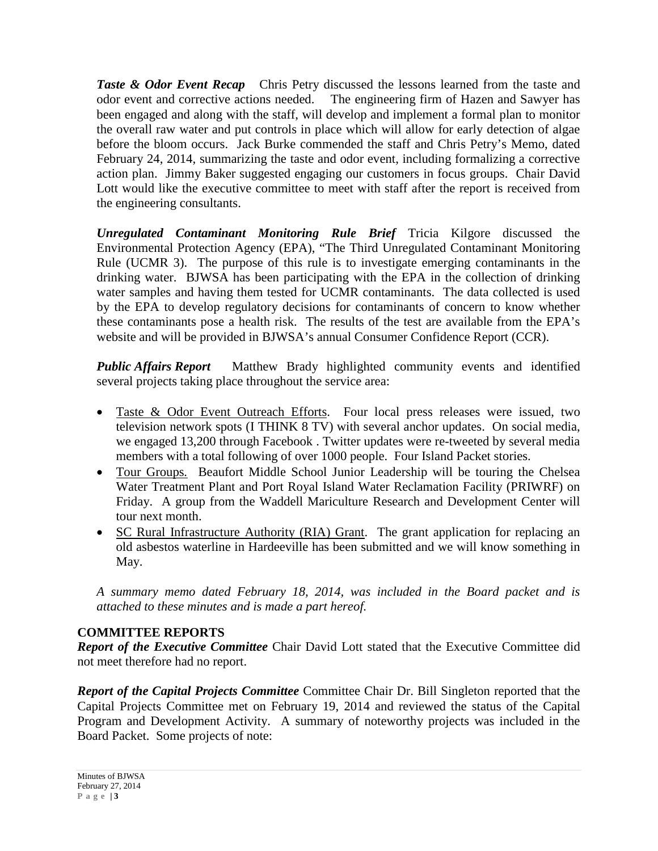**Taste & Odor Event Recap** Chris Petry discussed the lessons learned from the taste and odor event and corrective actions needed. The engineering firm of Hazen and Sawyer has been engaged and along with the staff, will develop and implement a formal plan to monitor the overall raw water and put controls in place which will allow for early detection of algae before the bloom occurs. Jack Burke commended the staff and Chris Petry's Memo, dated February 24, 2014, summarizing the taste and odor event, including formalizing a corrective action plan. Jimmy Baker suggested engaging our customers in focus groups. Chair David Lott would like the executive committee to meet with staff after the report is received from the engineering consultants.

*Unregulated Contaminant Monitoring Rule Brief* Tricia Kilgore discussed the Environmental Protection Agency (EPA), "The Third Unregulated Contaminant Monitoring Rule (UCMR 3). The purpose of this rule is to investigate emerging contaminants in the drinking water. BJWSA has been participating with the EPA in the collection of drinking water samples and having them tested for UCMR contaminants. The data collected is used by the EPA to develop regulatory decisions for contaminants of concern to know whether these contaminants pose a health risk. The results of the test are available from the EPA's website and will be provided in BJWSA's annual Consumer Confidence Report (CCR).

*Public Affairs Report* Matthew Brady highlighted community events and identified several projects taking place throughout the service area:

- Taste & Odor Event Outreach Efforts. Four local press releases were issued, two television network spots (I THINK 8 TV) with several anchor updates. On social media, we engaged 13,200 through Facebook . Twitter updates were re-tweeted by several media members with a total following of over 1000 people. Four Island Packet stories.
- Tour Groups*.* Beaufort Middle School Junior Leadership will be touring the Chelsea Water Treatment Plant and Port Royal Island Water Reclamation Facility (PRIWRF) on Friday. A group from the Waddell Mariculture Research and Development Center will tour next month.
- SC Rural Infrastructure Authority (RIA) Grant. The grant application for replacing an old asbestos waterline in Hardeeville has been submitted and we will know something in May.

*A summary memo dated February 18, 2014, was included in the Board packet and is attached to these minutes and is made a part hereof.*

# **COMMITTEE REPORTS**

*Report of the Executive Committee* Chair David Lott stated that the Executive Committee did not meet therefore had no report.

*Report of the Capital Projects Committee* Committee Chair Dr. Bill Singleton reported that the Capital Projects Committee met on February 19, 2014 and reviewed the status of the Capital Program and Development Activity. A summary of noteworthy projects was included in the Board Packet. Some projects of note: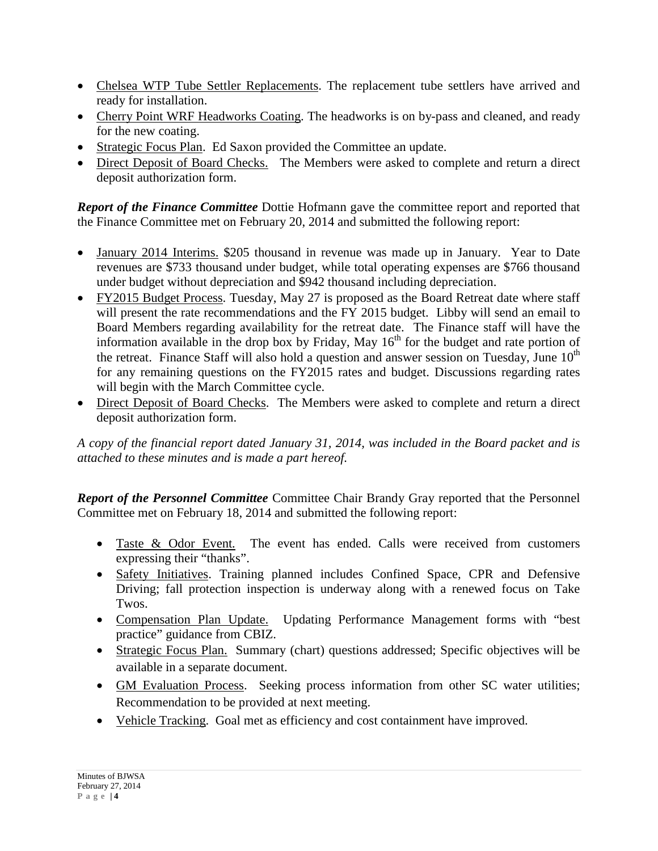- Chelsea WTP Tube Settler Replacements. The replacement tube settlers have arrived and ready for installation.
- Cherry Point WRF Headworks Coating. The headworks is on by-pass and cleaned, and ready for the new coating.
- Strategic Focus Plan. Ed Saxon provided the Committee an update.
- Direct Deposit of Board Checks. The Members were asked to complete and return a direct deposit authorization form.

*Report of the Finance Committee* Dottie Hofmann gave the committee report and reported that the Finance Committee met on February 20, 2014 and submitted the following report:

- January 2014 Interims. \$205 thousand in revenue was made up in January. Year to Date revenues are \$733 thousand under budget, while total operating expenses are \$766 thousand under budget without depreciation and \$942 thousand including depreciation.
- FY2015 Budget Process. Tuesday, May 27 is proposed as the Board Retreat date where staff will present the rate recommendations and the FY 2015 budget. Libby will send an email to Board Members regarding availability for the retreat date. The Finance staff will have the information available in the drop box by Friday, May  $16<sup>th</sup>$  for the budget and rate portion of the retreat. Finance Staff will also hold a question and answer session on Tuesday, June  $10<sup>th</sup>$ for any remaining questions on the FY2015 rates and budget. Discussions regarding rates will begin with the March Committee cycle.
- Direct Deposit of Board Checks. The Members were asked to complete and return a direct deposit authorization form.

*A copy of the financial report dated January 31, 2014, was included in the Board packet and is attached to these minutes and is made a part hereof.*

*Report of the Personnel Committee* Committee Chair Brandy Gray reported that the Personnel Committee met on February 18, 2014 and submitted the following report:

- Taste & Odor Event*.*The event has ended. Calls were received from customers expressing their "thanks".
- Safety Initiatives. Training planned includes Confined Space, CPR and Defensive Driving; fall protection inspection is underway along with a renewed focus on Take Twos.
- Compensation Plan Update.Updating Performance Management forms with "best practice" guidance from CBIZ.
- Strategic Focus Plan. Summary (chart) questions addressed; Specific objectives will be available in a separate document.
- GM Evaluation Process.Seeking process information from other SC water utilities; Recommendation to be provided at next meeting.
- Vehicle Tracking. Goal met as efficiency and cost containment have improved.